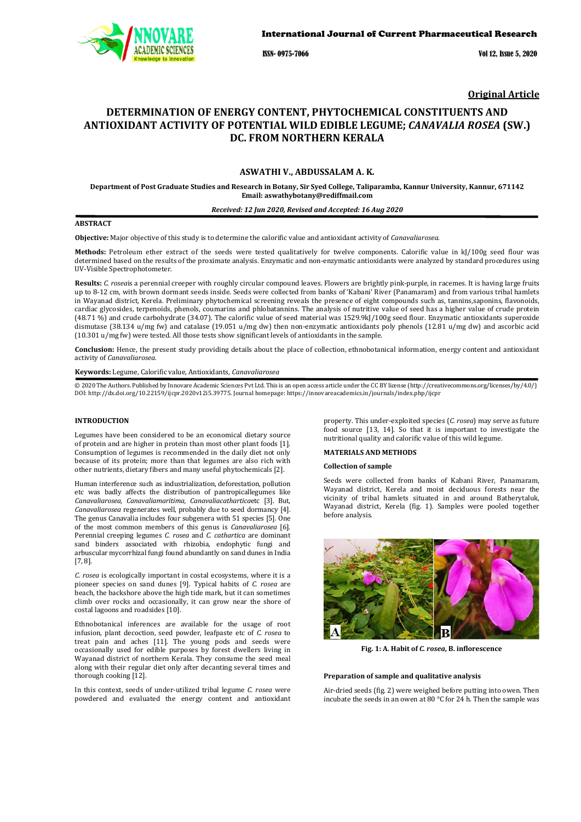

ISSN- 0975-7066 Vol 12, Issue 5, 2020

**Original Article**

# **DETERMINATION OF ENERGY CONTENT, PHYTOCHEMICAL CONSTITUENTS AND ANTIOXIDANT ACTIVITY OF POTENTIAL WILD EDIBLE LEGUME;** *CANAVALIA ROSEA* **(SW.) DC. FROM NORTHERN KERALA**

# **ASWATHI V., ABDUSSALAM A. K.**

**Department of Post Graduate Studies and Research in Botany, Sir Syed College, Taliparamba, Kannur University, Kannur, 671142 Email: aswathybotany@rediffmail.com**

# *Received: 12 Jun 2020, Revised and Accepted: 16 Aug 2020*

# **ABSTRACT**

**Objective:** Major objective of this study is to determine the calorific value and antioxidant activity of *Canavaliarosea.*

**Methods:** Petroleum ether extract of the seeds were tested qualitatively for twelve components. Calorific value in kJ/100g seed flour was determined based on the results of the proximate analysis. Enzymatic and non-enzymatic antioxidants were analyzed by standard procedures using UV-Visible Spectrophotometer.

**Results:** *C. rosea*is a perennial creeper with roughly circular compound leaves. Flowers are brightly pink-purple, in racemes. It is having large fruits up to 8-12 cm, with brown dormant seeds inside. Seeds were collected from banks of 'Kabani' River (Panamaram) and from various tribal hamlets in Wayanad district, Kerela. Preliminary phytochemical screening reveals the presence of eight compounds such as, tannins,saponins, flavonoids, cardiac glycosides, terpenoids, phenols, coumarins and phlobatannins. The analysis of nutritive value of seed has a higher value of crude protein (48.71 %) and crude carbohydrate (34.07). The calorific value of seed material was 1529.9kJ/100g seed flour. Enzymatic antioxidants superoxide dismutase (38.134 u/mg fw) and catalase (19.051 u/mg dw) then non-enzymatic antioxidants poly phenols (12.81 u/mg dw) and ascorbic acid (10.301 u/mg fw) were tested. All those tests show significant levels of antioxidants in the sample.

**Conclusion:** Hence, the present study providing details about the place of collection, ethnobotanical information, energy content and antioxidant activity of *Canavaliarosea*.

**Keywords:** Legume, Calorific value, Antioxidants, *Canavaliarosea*

© 2020 The Authors. Published by Innovare Academic Sciences Pvt Ltd. This is an open access article under the CC BY license (http://creativecommons.org/licenses/by/4.0/) DOI: http://dx.doi.org/10.22159/ijcpr.2020v12i5.39775. Journal homepage: https://innovareacademics.in/journals/index.php/ijcpr

#### **[INTRODUCTION](http://dx.doi.org/10.22159/ijcpr.2020v12i5)**

Legumes have been considered to be an economical dietary source of protein and are higher in protein than most other plant foods [1]. Consumption of legumes is recommended in the daily diet not only because of its protein; more than that legumes are also rich with other nutrients, dietary fibers and many useful phytochemicals [2].

Human interference such as industrialization, deforestation, pollution etc was badly affects the distribution of pantropicallegumes like *Canavaliarosea, Canavaliamaritima, Canavaliacathartica*etc [3]. But, *Canavaliarosea* regenerates well, probably due to seed dormancy [4]. The genus Canavalia includes four subgenera with 51 species [5]. One of the most common members of this genus is *Canavaliarosea* [6]. Perennial creeping legumes *C. rosea* and *C. cathartica* are dominant sand binders associated with rhizobia, endophytic fungi and arbuscular mycorrhizal fungi found abundantly on sand dunes in India [7, 8].

*C. rosea* is ecologically important in costal ecosystems, where it is a pioneer species on sand dunes [9]. Typical habits of *C. rosea* are beach, the backshore above the high tide mark, but it can sometimes climb over rocks and occasionally, it can grow near the shore of costal lagoons and roadsides [10].

Ethnobotanical inferences are available for the usage of root infusion, plant decoction, seed powder, leafpaste etc of *C. rosea* to treat pain and aches [11]. The young pods and seeds were occasionally used for edible purposes by forest dwellers living in Wayanad district of northern Kerala. They consume the seed meal along with their regular diet only after decanting several times and thorough cooking [12].

In this context, seeds of under-utilized tribal legume *C. rosea* were powdered and evaluated the energy content and antioxidant [property. This unde](https://innovareacademics.in/journals/index.php/ijcpr)r-exploited species (*C. rosea*) may serve as future food source [13, 14]. So that it is important to investigate the nutritional quality and calorific value of this wild legume.

# **MATERIALS AND METHODS**

### **Collection of sample**

Seeds were collected from banks of Kabani River, Panamaram, Wayanad district, Kerela and moist deciduous forests near the vicinity of tribal hamlets situated in and around Batherytaluk, Wayanad district, Kerela (fig. 1). Samples were pooled together before analysis.



**Fig. 1: A. Habit of** *C. rosea***, B. inflorescence**

# **Preparation of sample and qualitative analysis**

Air-dried seeds (fig. 2) were weighed before putting into owen. Then incubate the seeds in an owen at 80 °C for 24 h. Then the sample was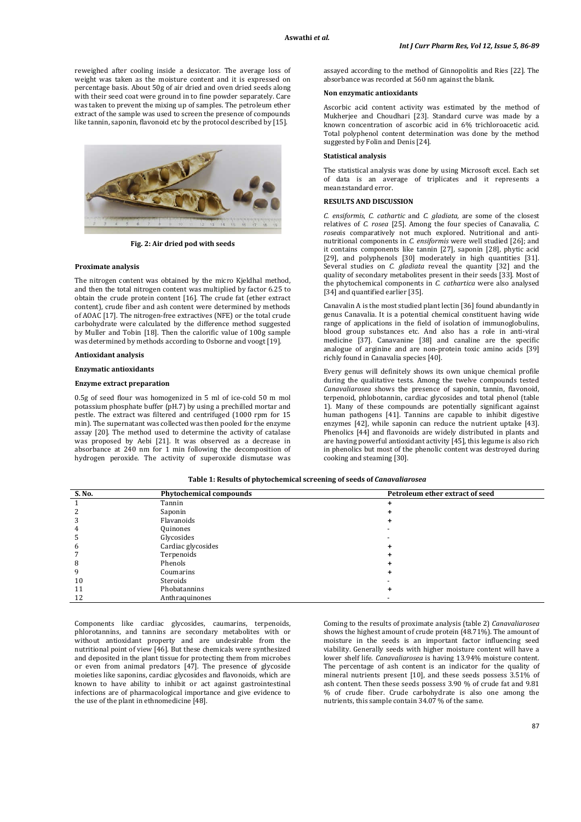reweighed after cooling inside a desiccator. The average loss of weight was taken as the moisture content and it is expressed on percentage basis. About 50g of air dried and oven dried seeds along with their seed coat were ground in to fine powder separately. Care was taken to prevent the mixing up of samples. The petroleum ether extract of the sample was used to screen the presence of compounds like tannin, saponin, flavonoid etc by the protocol described by [15].



**Fig. 2: Air dried pod with seeds**

#### **Proximate analysis**

The nitrogen content was obtained by the micro Kjeldhal method, and then the total nitrogen content was multiplied by factor 6.25 to obtain the crude protein content [16]. The crude fat (ether extract content), crude fiber and ash content were determined by methods of AOAC [17]. The nitrogen-free extractives (NFE) or the total crude carbohydrate were calculated by the difference method suggested by Muller and Tobin [18]. Then the calorific value of 100g sample was determined by methods according to Osborne and voogt [19].

#### **Antioxidant analysis**

# **Enzymatic antioxidants**

#### **Enzyme extract preparation**

0.5g of seed flour was homogenized in 5 ml of ice-cold 50 m mol potassium phosphate buffer (pH.7) by using a prechilled mortar and pestle. The extract was filtered and centrifuged (1000 rpm for 15 min). The supernatant was collected was then pooled for the enzyme assay [20]. The method used to determine the activity of catalase was proposed by Aebi [21]. It was observed as a decrease in absorbance at 240 nm for 1 min following the decomposition of hydrogen peroxide. The activity of superoxide dismutase was

assayed according to the method of Ginnopolitis and Ries [22]. The absorbance was recorded at 560 nm against the blank.

#### **Non enzymatic antioxidants**

Ascorbic acid content activity was estimated by the method of Mukherjee and Choudhari [23]. Standard curve was made by a known concentration of ascorbic acid in 6% trichloroacetic acid. Total polyphenol content determination was done by the method suggested by Folin and Denis [24].

## **Statistical analysis**

The statistical analysis was done by using Microsoft excel. Each set of data is an average of triplicates and it represents a mean±standard error.

#### **RESULTS AND DISCUSSION**

*C. ensiformis*, *C. cathartic* and *C. gladiata,* are some of the closest relatives of *C. rosea* [25]. Among the four species of Canavalia, *C. rosea*is comparatively not much explored. Nutritional and antinutritional components in *C. ensiformis* were well studied [26]; and it contains components like tannin [27], saponin [28], phytic acid [29], and polyphenols [30] moderately in high quantities [31]. Several studies on *C. gladiata* reveal the quantity [32] and the quality of secondary metabolites present in their seeds [33]. Most of the phytochemical components in *C. cathartica* were also analysed [34] and quantified earlier [35].

Canavalin A is the most studied plant lectin [36] found abundantly in genus Canavalia. It is a potential chemical constituent having wide range of applications in the field of isolation of immunoglobulins, blood group substances etc. And also has a role in anti-viral medicine [37]. Canavanine [38] and canaline are the specific analogue of arginine and are non-protein toxic amino acids [39] richly found in Canavalia species [40].

Every genus will definitely shows its own unique chemical profile during the qualitative tests. Among the twelve compounds tested *Canavaliarosea* shows the presence of saponin, tannin, flavonoid, terpenoid, phlobotannin, cardiac glycosides and total phenol (table 1). Many of these compounds are potentially significant against human pathogens [41]. Tannins are capable to inhibit digestive enzymes [42], while saponin can reduce the nutrient uptake [43]. Phenolics [44] and flavonoids are widely distributed in plants and are having powerful antioxidant activity [45], this legume is also rich in phenolics but most of the phenolic content was destroyed during cooking and steaming [30].

|  |  |  |  |  | Table 1: Results of phytochemical screening of seeds of <i>Canavaliarosea</i> |
|--|--|--|--|--|-------------------------------------------------------------------------------|
|--|--|--|--|--|-------------------------------------------------------------------------------|

| S. No. | <b>Phytochemical compounds</b> | Petroleum ether extract of seed |  |
|--------|--------------------------------|---------------------------------|--|
|        | Tannin                         |                                 |  |
|        | Saponin                        |                                 |  |
|        | Flavanoids                     |                                 |  |
|        | Quinones                       |                                 |  |
|        | Glycosides                     |                                 |  |
|        | Cardiac glycosides             |                                 |  |
|        | Terpenoids                     |                                 |  |
|        | Phenols                        |                                 |  |
|        | Coumarins                      |                                 |  |
| 10     | Steroids                       |                                 |  |
| 11     | Phobatannins                   |                                 |  |
| 12     | Anthraquinones                 |                                 |  |

Components like cardiac glycosides, caumarins, terpenoids, phlorotannins, and tannins are secondary metabolites with or without antioxidant property and are undesirable from the nutritional point of view [46]. But these chemicals were synthesized and deposited in the plant tissue for protecting them from microbes or even from animal predators [47]. The presence of glycoside moieties like saponins, cardiac glycosides and flavonoids, which are known to have ability to inhibit or act against gastrointestinal infections are of pharmacological importance and give evidence to the use of the plant in ethnomedicine [48].

Coming to the results of proximate analysis (table 2) *Canavaliarosea* shows the highest amount of crude protein (48.71%). The amount of moisture in the seeds is an important factor influencing seed viability. Generally seeds with higher moisture content will have a lower shelf life. *Canavaliarosea* is having 13.94% moisture content. The percentage of ash content is an indicator for the quality of mineral nutrients present [10], and these seeds possess 3.51% of ash content. Then these seeds possess 3.90 % of crude fat and 9.81 % of crude fiber. Crude carbohydrate is also one among the nutrients, this sample contain 34.07 % of the same.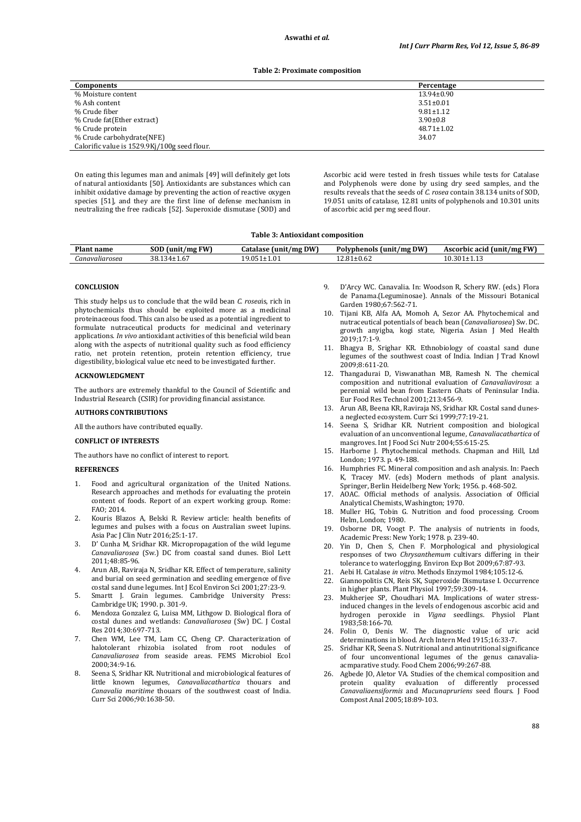#### **Table 2: Proximate composition**

| Components                                   | Percentage       |  |
|----------------------------------------------|------------------|--|
| % Moisture content                           | $13.94 \pm 0.90$ |  |
| % Ash content                                | $3.51 \pm 0.01$  |  |
| % Crude fiber                                | $9.81 \pm 1.12$  |  |
| % Crude fat(Ether extract)                   | $3.90 \pm 0.8$   |  |
| % Crude protein                              | $48.71 \pm 1.02$ |  |
| % Crude carbohydrate(NFE)                    | 34.07            |  |
| Calorific value is 1529.9Kj/100g seed flour. |                  |  |

On eating this legumes man and animals [49] will definitely get lots of natural antioxidants [50]. Antioxidants are substances which can inhibit oxidative damage by preventing the action of reactive oxygen species [51], and they are the first line of defense mechanism in neutralizing the free radicals [52]. Superoxide dismutase (SOD) and Ascorbic acid were tested in fresh tissues while tests for Catalase and Polyphenols were done by using dry seed samples, and the results reveals that the seeds of *C. rosea* contain 38.134 units of SOD, 19.051 units of catalase, 12.81 units of polyphenols and 10.301 units of ascorbic acid per mg seed flour.

#### **Table 3: Antioxidant composition**

| <b>Plant name</b> | COD<br><b>FW</b><br>(unit)<br>⁄ mg<br>JUD. | <b>DW</b><br>Catalase<br>(unit/mg)                | Polypheno<br>$1/m$ g DW<br>`° (uniı.<br>:nois | ./mg FW<br>(unit.<br>rbic acid<br>Ascor* |
|-------------------|--------------------------------------------|---------------------------------------------------|-----------------------------------------------|------------------------------------------|
| Canavaliarosea    | 29121<br>38.134±1.6.                       | ΩE.<br>$\ddot{\phantom{1}}$<br>$0.051 {\pm} 1.01$ | .0.09<br>⊥∪.∪∠                                | $10.301 {\pm} 1.13$                      |

#### **CONCLUSION**

This study helps us to conclude that the wild bean *C. rosea*is, rich in phytochemicals thus should be exploited more as a medicinal proteinaceous food. This can also be used as a potential ingredient to formulate nutraceutical products for medicinal and veterinary applications. *In vivo* antioxidant activities of this beneficial wild bean along with the aspects of nutritional quality such as food efficiency ratio, net protein retention, protein retention efficiency, true digestibility, biological value etc need to be investigated further.

# **ACKNOWLEDGMENT**

The authors are extremely thankful to the Council of Scientific and Industrial Research (CSIR) for providing financial assistance.

### **AUTHORS CONTRIBUTIONS**

All the authors have contributed equally.

# **CONFLICT OF INTERESTS**

The authors have no conflict of interest to report.

# **REFERENCES**

- 1. Food and agricultural organization of the United Nations. Research approaches and methods for evaluating the protein content of foods. Report of an expert working group. Rome: FAO; 2014.
- 2. Kouris Blazos A, Belski R. Review article: health benefits of legumes and pulses with a focus on Australian sweet lupins. Asia Pac J Clin Nutr 2016;25:1-17.
- 3. D' Cunha M, Sridhar KR. Micropropagation of the wild legume *Canavaliarosea* (Sw.) DC from coastal sand dunes. Biol Lett 2011;48:85-96.
- 4. Arun AB, Raviraja N, Sridhar KR. Effect of temperature, salinity and burial on seed germination and seedling emergence of five costal sand dune legumes. Int J Ecol Environ Sci 2001;27:23-9.
- 5. Smartt J. Grain legumes. Cambridge University Press: Cambridge UK; 1990. p. 301-9.
- 6. Mendoza Gonzalez G, Luisa MM, Lithgow D. Biological flora of costal dunes and wetlands: *Canavaliarosea* (Sw) DC. J Costal Res 2014;30:697-713.
- 7. Chen WM, Lee TM, Lam CC, Cheng CP. Characterization of halotolerant rhizobia isolated from root nodules of *Canavaliarosea* from seaside areas. FEMS Microbiol Ecol 2000;34:9-16.
- 8. Seena S, Sridhar KR. Nutritional and microbiological features of little known legumes, *Canavaliacathartica* thouars and *Canavalia maritime* thouars of the southwest coast of India. Curr Sci 2006;90:1638-50.
- 9. D'Arcy WC. Canavalia. In: Woodson R, Schery RW. (eds.) Flora de Panama.(Leguminosae). Annals of the Missouri Botanical Garden 1980;67:562-71.
- 10. Tijani KB, Alfa AA, Momoh A, Sezor AA. Phytochemical and nutraceutical potentials of beach bean (*Canavaliarosea*) Sw. DC. growth anyigba, kogi state, Nigeria. Asian J Med Health 2019;17:1-9.
- 11. Bhagya B, Srighar KR. Ethnobiology of coastal sand dune legumes of the southwest coast of India. Indian J Trad Knowl 2009;8:611-20.
- 12. Thangadurai D, Viswanathan MB, Ramesh N. The chemical composition and nutritional evaluation of *Canavaliavirosa*: a perennial wild bean from Eastern Ghats of Peninsular India. Eur Food Res Technol 2001;213:456-9.
- 13. Arun AB, Beena KR, Raviraja NS, Sridhar KR. Costal sand dunesa neglected ecosystem. Curr Sci 1999;77:19-21.
- 14. Seena S, Sridhar KR. Nutrient composition and biological evaluation of an unconventional legume, *Canavaliacathartica* of mangroves. Int J Food Sci Nutr 2004;55:615-25.
- 15. Harborne J. Phytochemical methods. Chapman and Hill, Ltd London; 1973. p. 49-188.
- 16. Humphries FC. Mineral composition and ash analysis. In: Paech K, Tracey MV. (eds) Modern methods of plant analysis. Springer, Berlin Heidelberg New York; 1956. p. 468-502.
- 17. AOAC. Official methods of analysis. Association of Official Analytical Chemists, Washington; 1970.
- 18. Muller HG, Tobin G. Nutrition and food processing. Croom Helm, London; 1980.
- 0sborne DR, Voogt P. The analysis of nutrients in foods, Academic Press: New York; 1978. p. 239-40.
- 20. Yin D, Chen S, Chen F. Morphological and physiological responses of two *Chrysanthemum* cultivars differing in their tolerance to waterlogging. Environ Exp Bot 2009;67:87-93.
- 21. Aebi H. Catalase *in vitro*. Methods Enzymol 1984;105:12-6.
- 22. Giannopolitis CN, Reis SK, Superoxide Dismutase I. Occurrence in higher plants. Plant Physiol 1997;59:309-14.
- 23. Mukherjee SP, Choudhari MA. Implications of water stressinduced changes in the levels of endogenous ascorbic acid and hydrogen peroxide in *Vigna* seedlings. Physiol Plant 1983;58:166-70.
- 24. Folin O, Denis W. The diagnostic value of uric acid determinations in blood. Arch Intern Med 1915;16:33-7.
- 25. Sridhar KR, Seena S. Nutritional and antinutritional significance of four unconventional legumes of the genus canavaliaacmparative study. Food Chem 2006;99:267-88.
- 26. Agbede JO, Aletor VA. Studies of the chemical composition and protein quality evaluation of differently processed *Canavaliaensiformis* and *Mucunapruriens* seed flours. J Food Compost Anal 2005;18:89-103.